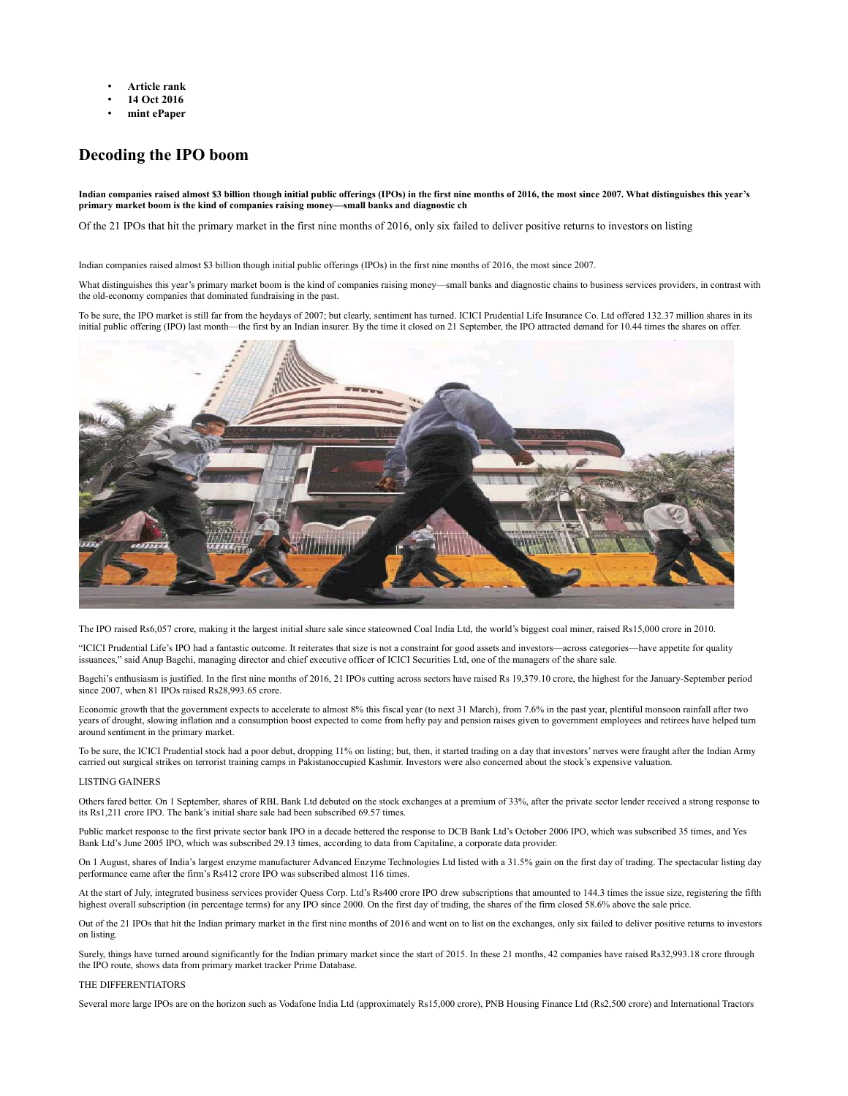- **Article rank**
- **14 Oct 2016**
- **mint ePaper**

# **Decoding the IPO boom**

**Indian companies raised almost \$3 billion though initial public offerings (IPOs) in the first nine months of 2016, the most since 2007. What distinguishes this year's primary market boom is the kind of companies raising money—small banks and diagnostic ch**

Of the 21 IPOs that hit the primary market in the first nine months of 2016, only six failed to deliver positive returns to investors on listing

Indian companies raised almost \$3 billion though initial public offerings (IPOs) in the first nine months of 2016, the most since 2007.

What distinguishes this year's primary market boom is the kind of companies raising money—small banks and diagnostic chains to business services providers, in contrast with the old-economy companies that dominated fundraising in the past.

To be sure, the IPO market is still far from the heydays of 2007; but clearly, sentiment has turned. ICICI Prudential Life Insurance Co. Ltd offered 132.37 million shares in its initial public offering (IPO) last month—the first by an Indian insurer. By the time it closed on 21 September, the IPO attracted demand for 10.44 times the shares on offer.



The IPO raised Rs6,057 crore, making it the largest initial share sale since stateowned Coal India Ltd, the world's biggest coal miner, raised Rs15,000 crore in 2010.

"ICICI Prudential Life's IPO had a fantastic outcome. It reiterates that size is not a constraint for good assets and investors—across categories—have appetite for quality issuances," said Anup Bagchi, managing director and chief executive officer of ICICI Securities Ltd, one of the managers of the share sale.

Bagchi's enthusiasm is justified. In the first nine months of 2016, 21 IPOs cutting across sectors have raised Rs 19,379.10 crore, the highest for the January-September period since 2007, when 81 IPOs raised Rs28,993.65 crore.

Economic growth that the government expects to accelerate to almost 8% this fiscal year (to next 31 March), from 7.6% in the past year, plentiful monsoon rainfall after two years of drought, slowing inflation and a consumption boost expected to come from hefty pay and pension raises given to government employees and retirees have helped turn around sentiment in the primary market.

To be sure, the ICICI Prudential stock had a poor debut, dropping 11% on listing; but, then, it started trading on a day that investors' nerves were fraught after the Indian Army carried out surgical strikes on terrorist training camps in Pakistanoccupied Kashmir. Investors were also concerned about the stock's expensive valuation.

## LISTING GAINERS

Others fared better. On 1 September, shares of RBL Bank Ltd debuted on the stock exchanges at a premium of 33%, after the private sector lender received a strong response to its Rs1,211 crore IPO. The bank's initial share sale had been subscribed 69.57 times.

Public market response to the first private sector bank IPO in a decade bettered the response to DCB Bank Ltd's October 2006 IPO, which was subscribed 35 times, and Yes Bank Ltd's June 2005 IPO, which was subscribed 29.13 times, according to data from Capitaline, a corporate data provider.

On 1 August, shares of India's largest enzyme manufacturer Advanced Enzyme Technologies Ltd listed with a 31.5% gain on the first day of trading. The spectacular listing day performance came after the firm's Rs412 crore IPO was subscribed almost 116 times.

At the start of July, integrated business services provider Quess Corp. Ltd's Rs400 crore IPO drew subscriptions that amounted to 144.3 times the issue size, registering the fifth highest overall subscription (in percentage terms) for any IPO since 2000. On the first day of trading, the shares of the firm closed 58.6% above the sale price.

Out of the 21 IPOs that hit the Indian primary market in the first nine months of 2016 and went on to list on the exchanges, only six failed to deliver positive returns to investors on listing.

Surely, things have turned around significantly for the Indian primary market since the start of 2015. In these 21 months, 42 companies have raised Rs32,993.18 crore through the IPO route, shows data from primary market tracker Prime Database.

## THE DIFFERENTIATORS

Several more large IPOs are on the horizon such as Vodafone India Ltd (approximately Rs15,000 crore), PNB Housing Finance Ltd (Rs2,500 crore) and International Tractors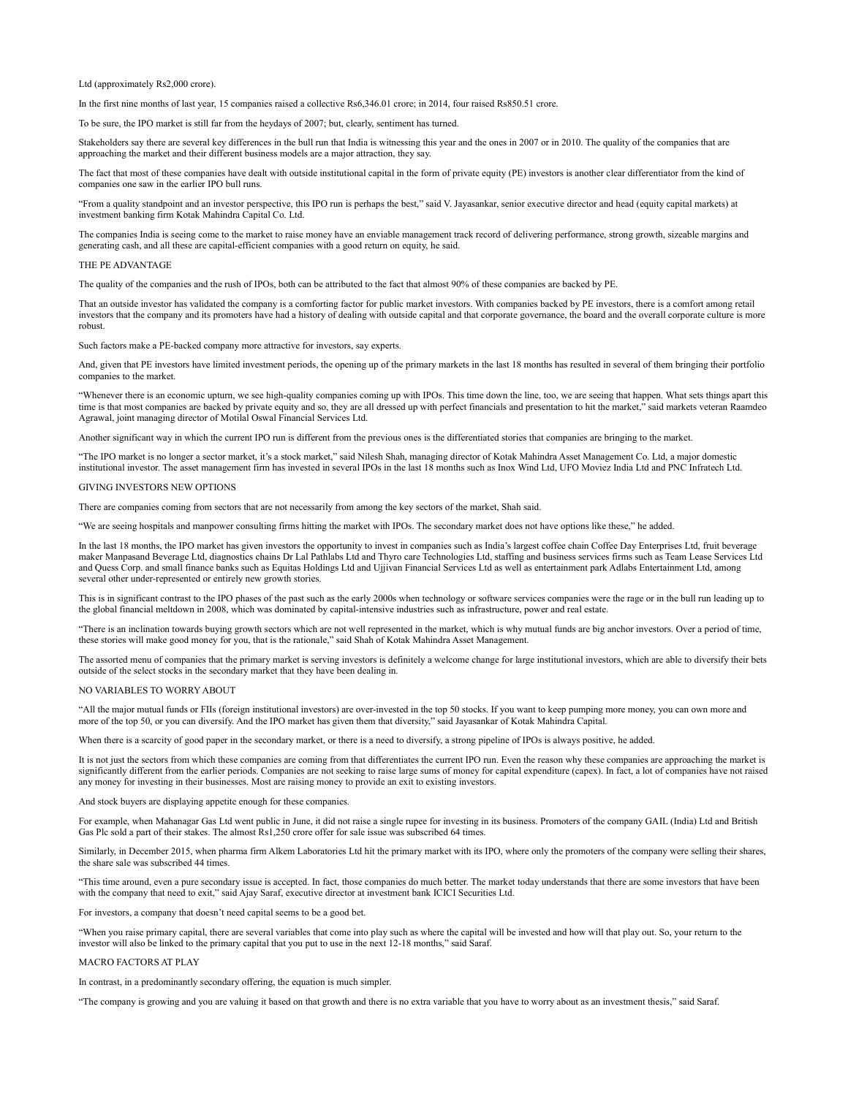Ltd (approximately Rs2,000 crore).

In the first nine months of last year, 15 companies raised a collective Rs6,346.01 crore; in 2014, four raised Rs850.51 crore.

To be sure, the IPO market is still far from the heydays of 2007; but, clearly, sentiment has turned.

Stakeholders say there are several key differences in the bull run that India is witnessing this year and the ones in 2007 or in 2010. The quality of the companies that are approaching the market and their different business models are a major attraction, they say.

The fact that most of these companies have dealt with outside institutional capital in the form of private equity (PE) investors is another clear differentiator from the kind of companies one saw in the earlier IPO bull runs.

"From a quality standpoint and an investor perspective, this IPO run is perhaps the best," said V. Jayasankar, senior executive director and head (equity capital markets) at investment banking firm Kotak Mahindra Capital Co. Ltd.

The companies India is seeing come to the market to raise money have an enviable management track record of delivering performance, strong growth, sizeable margins and generating cash, and all these are capital-efficient companies with a good return on equity, he said.

# THE PE ADVANTAGE

The quality of the companies and the rush of IPOs, both can be attributed to the fact that almost 90% of these companies are backed by PE.

That an outside investor has validated the company is a comforting factor for public market investors. With companies backed by PE investors, there is a comfort among retail investors that the company and its promoters have had a history of dealing with outside capital and that corporate governance, the board and the overall corporate culture is more robust.

Such factors make a PE-backed company more attractive for investors, say experts.

And, given that PE investors have limited investment periods, the opening up of the primary markets in the last 18 months has resulted in several of them bringing their portfolio companies to the market.

"Whenever there is an economic upturn, we see high-quality companies coming up with IPOs. This time down the line, too, we are seeing that happen. What sets things apart this time is that most companies are backed by private equity and so, they are all dressed up with perfect financials and presentation to hit the market," said markets veteran Raamdeo Agrawal, joint managing director of Motilal Oswal Financial Services Ltd.

Another significant way in which the current IPO run is different from the previous ones is the differentiated stories that companies are bringing to the market.

"The IPO market is no longer a sector market, it's a stock market," said Nilesh Shah, managing director of Kotak Mahindra Asset Management Co. Ltd, a major domestic institutional investor. The asset management firm has invested in several IPOs in the last 18 months such as Inox Wind Ltd, UFO Moviez India Ltd and PNC Infratech Ltd.

#### GIVING INVESTORS NEW OPTIONS

There are companies coming from sectors that are not necessarily from among the key sectors of the market, Shah said.

"We are seeing hospitals and manpower consulting firms hitting the market with IPOs. The secondary market does not have options like these," he added.

In the last 18 months, the IPO market has given investors the opportunity to invest in companies such as India's largest coffee chain Coffee Day Enterprises Ltd, fruit beverage maker Manpasand Beverage Ltd, diagnostics chains Dr Lal Pathlabs Ltd and Thyro care Technologies Ltd, staffing and business services firms such as Team Lease Services Ltd and Quess Corp. and small finance banks such as Equitas Holdings Ltd and Ujjivan Financial Services Ltd as well as entertainment park Adlabs Entertainment Ltd, among several other under-represented or entirely new growth stories.

This is in significant contrast to the IPO phases of the past such as the early 2000s when technology or software services companies were the rage or in the bull run leading up to the global financial meltdown in 2008, which was dominated by capital-intensive industries such as infrastructure, power and real estate.

"There is an inclination towards buying growth sectors which are not well represented in the market, which is why mutual funds are big anchor investors. Over a period of time, these stories will make good money for you, that is the rationale," said Shah of Kotak Mahindra Asset Management.

The assorted menu of companies that the primary market is serving investors is definitely a welcome change for large institutional investors, which are able to diversify their bets outside of the select stocks in the secondary market that they have been dealing in.

## NO VARIABLES TO WORRY ABOUT

"All the major mutual funds or FIIs (foreign institutional investors) are over-invested in the top 50 stocks. If you want to keep pumping more money, you can own more and more of the top 50, or you can diversify. And the IPO market has given them that diversity," said Jayasankar of Kotak Mahindra Capital.

When there is a scarcity of good paper in the secondary market, or there is a need to diversify, a strong pipeline of IPOs is always positive, he added.

It is not just the sectors from which these companies are coming from that differentiates the current IPO run. Even the reason why these companies are approaching the market is significantly different from the earlier periods. Companies are not seeking to raise large sums of money for capital expenditure (capex). In fact, a lot of companies have not raised any money for investing in their businesses. Most are raising money to provide an exit to existing investors.

And stock buyers are displaying appetite enough for these companies.

For example, when Mahanagar Gas Ltd went public in June, it did not raise a single rupee for investing in its business. Promoters of the company GAIL (India) Ltd and British Gas Plc sold a part of their stakes. The almost Rs1,250 crore offer for sale issue was subscribed 64 times.

Similarly, in December 2015, when pharma firm Alkem Laboratories Ltd hit the primary market with its IPO, where only the promoters of the company were selling their shares, the share sale was subscribed 44 times.

"This time around, even a pure secondary issue is accepted. In fact, those companies do much better. The market today understands that there are some investors that have been with the company that need to exit," said Ajay Saraf, executive director at investment bank ICICI Securities Ltd.

For investors, a company that doesn't need capital seems to be a good bet.

"When you raise primary capital, there are several variables that come into play such as where the capital will be invested and how will that play out. So, your return to the investor will also be linked to the primary capital that you put to use in the next 12-18 months," said Saraf.

### MACRO FACTORS AT PLAY

In contrast, in a predominantly secondary offering, the equation is much simpler.

"The company is growing and you are valuing it based on that growth and there is no extra variable that you have to worry about as an investment thesis," said Saraf.